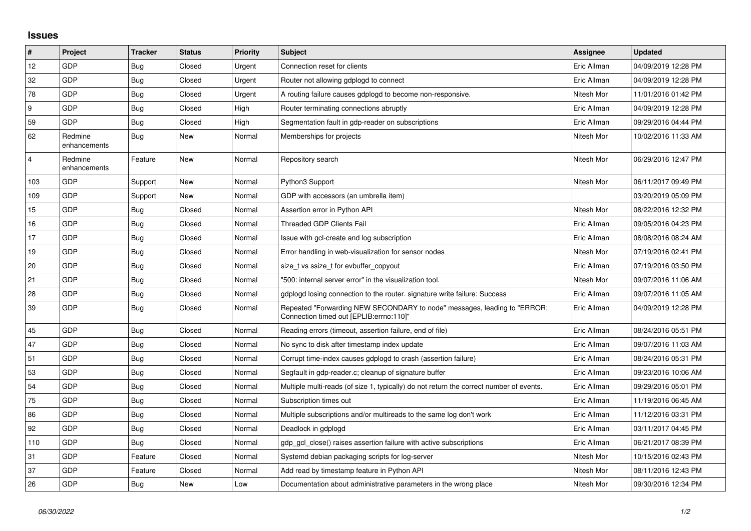## **Issues**

| $\vert$ #      | Project                 | <b>Tracker</b> | <b>Status</b> | <b>Priority</b> | <b>Subject</b>                                                                                                      | <b>Assignee</b> | <b>Updated</b>      |
|----------------|-------------------------|----------------|---------------|-----------------|---------------------------------------------------------------------------------------------------------------------|-----------------|---------------------|
| 12             | GDP                     | Bug            | Closed        | Urgent          | Connection reset for clients                                                                                        | Eric Allman     | 04/09/2019 12:28 PM |
| 32             | GDP                     | Bug            | Closed        | Urgent          | Router not allowing gdplogd to connect                                                                              | Eric Allman     | 04/09/2019 12:28 PM |
| 78             | <b>GDP</b>              | <b>Bug</b>     | Closed        | Urgent          | A routing failure causes gdplogd to become non-responsive.                                                          | Nitesh Mor      | 11/01/2016 01:42 PM |
| 9              | GDP                     | Bug            | Closed        | High            | Router terminating connections abruptly                                                                             | Eric Allman     | 04/09/2019 12:28 PM |
| 59             | GDP                     | Bug            | Closed        | High            | Segmentation fault in gdp-reader on subscriptions                                                                   | Eric Allman     | 09/29/2016 04:44 PM |
| 62             | Redmine<br>enhancements | <b>Bug</b>     | New           | Normal          | Memberships for projects                                                                                            | Nitesh Mor      | 10/02/2016 11:33 AM |
| $\overline{4}$ | Redmine<br>enhancements | Feature        | New           | Normal          | Repository search                                                                                                   | Nitesh Mor      | 06/29/2016 12:47 PM |
| 103            | GDP                     | Support        | New           | Normal          | Python3 Support                                                                                                     | Nitesh Mor      | 06/11/2017 09:49 PM |
| 109            | <b>GDP</b>              | Support        | New           | Normal          | GDP with accessors (an umbrella item)                                                                               |                 | 03/20/2019 05:09 PM |
| 15             | <b>GDP</b>              | Bug            | Closed        | Normal          | Assertion error in Python API                                                                                       | Nitesh Mor      | 08/22/2016 12:32 PM |
| 16             | GDP                     | <b>Bug</b>     | Closed        | Normal          | <b>Threaded GDP Clients Fail</b>                                                                                    | Eric Allman     | 09/05/2016 04:23 PM |
| 17             | <b>GDP</b>              | Bug            | Closed        | Normal          | Issue with gcl-create and log subscription                                                                          | Eric Allman     | 08/08/2016 08:24 AM |
| 19             | GDP                     | Bug            | Closed        | Normal          | Error handling in web-visualization for sensor nodes                                                                | Nitesh Mor      | 07/19/2016 02:41 PM |
| 20             | GDP                     | Bug            | Closed        | Normal          | size t vs ssize t for evbuffer copyout                                                                              | Eric Allman     | 07/19/2016 03:50 PM |
| 21             | GDP                     | Bug            | Closed        | Normal          | "500: internal server error" in the visualization tool.                                                             | Nitesh Mor      | 09/07/2016 11:06 AM |
| 28             | GDP                     | <b>Bug</b>     | Closed        | Normal          | gdplogd losing connection to the router, signature write failure: Success                                           | Eric Allman     | 09/07/2016 11:05 AM |
| 39             | GDP                     | Bug            | Closed        | Normal          | Repeated "Forwarding NEW SECONDARY to node" messages, leading to "ERROR:<br>Connection timed out [EPLIB:errno:110]" | Eric Allman     | 04/09/2019 12:28 PM |
| 45             | GDP                     | Bug            | Closed        | Normal          | Reading errors (timeout, assertion failure, end of file)                                                            | Eric Allman     | 08/24/2016 05:51 PM |
| 47             | <b>GDP</b>              | Bug            | Closed        | Normal          | No sync to disk after timestamp index update                                                                        | Eric Allman     | 09/07/2016 11:03 AM |
| 51             | GDP                     | Bug            | Closed        | Normal          | Corrupt time-index causes gdplogd to crash (assertion failure)                                                      | Eric Allman     | 08/24/2016 05:31 PM |
| 53             | GDP                     | Bug            | Closed        | Normal          | Segfault in gdp-reader.c; cleanup of signature buffer                                                               | Eric Allman     | 09/23/2016 10:06 AM |
| 54             | <b>GDP</b>              | <b>Bug</b>     | Closed        | Normal          | Multiple multi-reads (of size 1, typically) do not return the correct number of events.                             | Eric Allman     | 09/29/2016 05:01 PM |
| 75             | GDP                     | Bug            | Closed        | Normal          | Subscription times out                                                                                              | Eric Allman     | 11/19/2016 06:45 AM |
| 86             | <b>GDP</b>              | Bug            | Closed        | Normal          | Multiple subscriptions and/or multireads to the same log don't work                                                 | Eric Allman     | 11/12/2016 03:31 PM |
| 92             | GDP                     | Bug            | Closed        | Normal          | Deadlock in gdplogd                                                                                                 | Eric Allman     | 03/11/2017 04:45 PM |
| 110            | GDP                     | Bug            | Closed        | Normal          | gdp gcl close() raises assertion failure with active subscriptions                                                  | Eric Allman     | 06/21/2017 08:39 PM |
| 31             | GDP                     | Feature        | Closed        | Normal          | Systemd debian packaging scripts for log-server                                                                     | Nitesh Mor      | 10/15/2016 02:43 PM |
| 37             | GDP                     | Feature        | Closed        | Normal          | Add read by timestamp feature in Python API                                                                         | Nitesh Mor      | 08/11/2016 12:43 PM |
| 26             | <b>GDP</b>              | Bug            | New           | Low             | Documentation about administrative parameters in the wrong place                                                    | Nitesh Mor      | 09/30/2016 12:34 PM |